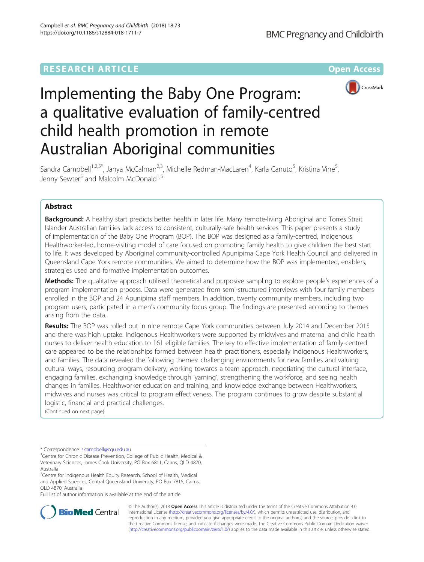## **RESEARCH ARTICLE Example 2018 12:00 Department of the CONNECTION CONNECTION CONNECTION CONNECTION CONNECTION**



# Implementing the Baby One Program: a qualitative evaluation of family-centred child health promotion in remote Australian Aboriginal communities

Sandra Campbell<sup>1,2,5\*</sup>, Janya McCalman<sup>2,3</sup>, Michelle Redman-MacLaren<sup>4</sup>, Karla Canuto<sup>5</sup>, Kristina Vine<sup>5</sup> , Jenny Sewter<sup>5</sup> and Malcolm McDonald<sup>1,5</sup>

## Abstract

Background: A healthy start predicts better health in later life. Many remote-living Aboriginal and Torres Strait Islander Australian families lack access to consistent, culturally-safe health services. This paper presents a study of implementation of the Baby One Program (BOP). The BOP was designed as a family-centred, Indigenous Healthworker-led, home-visiting model of care focused on promoting family health to give children the best start to life. It was developed by Aboriginal community-controlled Apunipima Cape York Health Council and delivered in Queensland Cape York remote communities. We aimed to determine how the BOP was implemented, enablers, strategies used and formative implementation outcomes.

Methods: The qualitative approach utilised theoretical and purposive sampling to explore people's experiences of a program implementation process. Data were generated from semi-structured interviews with four family members enrolled in the BOP and 24 Apunipima staff members. In addition, twenty community members, including two program users, participated in a men's community focus group. The findings are presented according to themes arising from the data.

Results: The BOP was rolled out in nine remote Cape York communities between July 2014 and December 2015 and there was high uptake. Indigenous Healthworkers were supported by midwives and maternal and child health nurses to deliver health education to 161 eligible families. The key to effective implementation of family-centred care appeared to be the relationships formed between health practitioners, especially Indigenous Healthworkers, and families. The data revealed the following themes: challenging environments for new families and valuing cultural ways, resourcing program delivery, working towards a team approach, negotiating the cultural interface, engaging families, exchanging knowledge through 'yarning', strengthening the workforce, and seeing health changes in families. Healthworker education and training, and knowledge exchange between Healthworkers, midwives and nurses was critical to program effectiveness. The program continues to grow despite substantial logistic, financial and practical challenges.

(Continued on next page)

\* Correspondence: [s.campbell@cqu.edu.au](mailto:s.campbell@cqu.edu.au) <sup>1</sup>

Full list of author information is available at the end of the article



© The Author(s). 2018 Open Access This article is distributed under the terms of the Creative Commons Attribution 4.0 International License [\(http://creativecommons.org/licenses/by/4.0/](http://creativecommons.org/licenses/by/4.0/)), which permits unrestricted use, distribution, and reproduction in any medium, provided you give appropriate credit to the original author(s) and the source, provide a link to the Creative Commons license, and indicate if changes were made. The Creative Commons Public Domain Dedication waiver [\(http://creativecommons.org/publicdomain/zero/1.0/](http://creativecommons.org/publicdomain/zero/1.0/)) applies to the data made available in this article, unless otherwise stated.

<sup>&</sup>lt;sup>1</sup> Centre for Chronic Disease Prevention, College of Public Health, Medical & Veterinary Sciences, James Cook University, PO Box 6811, Cairns, QLD 4870, Australia

<sup>&</sup>lt;sup>2</sup>Centre for Indigenous Health Equity Research, School of Health, Medical and Applied Sciences, Central Queensland University, PO Box 7815, Cairns, QLD 4870, Australia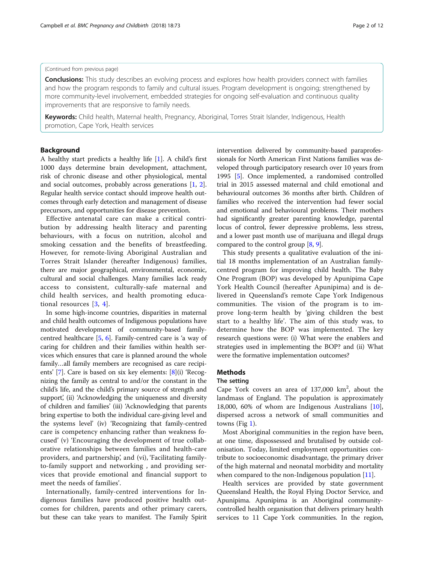#### (Continued from previous page)

**Conclusions:** This study describes an evolving process and explores how health providers connect with families and how the program responds to family and cultural issues. Program development is ongoing; strengthened by more community-level involvement, embedded strategies for ongoing self-evaluation and continuous quality improvements that are responsive to family needs.

Keywords: Child health, Maternal health, Pregnancy, Aboriginal, Torres Strait Islander, Indigenous, Health promotion, Cape York, Health services

## Background

A healthy start predicts a healthy life [[1\]](#page-10-0). A child's first 1000 days determine brain development, attachment, risk of chronic disease and other physiological, mental and social outcomes, probably across generations [[1](#page-10-0), [2](#page-10-0)]. Regular health service contact should improve health outcomes through early detection and management of disease precursors, and opportunities for disease prevention.

Effective antenatal care can make a critical contribution by addressing health literacy and parenting behaviours, with a focus on nutrition, alcohol and smoking cessation and the benefits of breastfeeding. However, for remote-living Aboriginal Australian and Torres Strait Islander (hereafter Indigenous) families, there are major geographical, environmental, economic, cultural and social challenges. Many families lack ready access to consistent, culturally-safe maternal and child health services, and health promoting educational resources [\[3,](#page-10-0) [4\]](#page-10-0).

In some high-income countries, disparities in maternal and child health outcomes of Indigenous populations have motivated development of community-based familycentred healthcare [[5,](#page-10-0) [6\]](#page-10-0). Family-centred care is 'a way of caring for children and their families within health services which ensures that care is planned around the whole family…all family members are recognised as care recipients' [\[7](#page-10-0)]. Care is based on six key elements: [\[8\]](#page-10-0)(i) 'Recognizing the family as central to and/or the constant in the child's life, and the child's primary source of strength and support', (ii) 'Acknowledging the uniqueness and diversity of children and families' (iii) 'Acknowledging that parents bring expertise to both the individual care-giving level and the systems level' (iv) 'Recognizing that family-centred care is competency enhancing rather than weakness focused' (v) 'Encouraging the development of true collaborative relationships between families and health-care providers, and partnership', and (vi), 'Facilitating familyto-family support and networking , and providing services that provide emotional and financial support to meet the needs of families'.

Internationally, family-centred interventions for Indigenous families have produced positive health outcomes for children, parents and other primary carers, but these can take years to manifest. The Family Spirit intervention delivered by community-based paraprofessionals for North American First Nations families was developed through participatory research over 10 years from 1995 [[5](#page-10-0)]. Once implemented, a randomised controlled trial in 2015 assessed maternal and child emotional and behavioural outcomes 36 months after birth. Children of families who received the intervention had fewer social and emotional and behavioural problems. Their mothers had significantly greater parenting knowledge, parental locus of control, fewer depressive problems, less stress, and a lower past month use of marijuana and illegal drugs compared to the control group [\[8,](#page-10-0) [9](#page-10-0)].

This study presents a qualitative evaluation of the initial 18 months implementation of an Australian familycentred program for improving child health. The Baby One Program (BOP) was developed by Apunipima Cape York Health Council (hereafter Apunipima) and is delivered in Queensland's remote Cape York Indigenous communities. The vision of the program is to improve long-term health by 'giving children the best start to a healthy life'. The aim of this study was, to determine how the BOP was implemented. The key research questions were: (i) What were the enablers and strategies used in implementing the BOP? and (ii) What were the formative implementation outcomes?

## Methods

## The setting

Cape York covers an area of  $137,000$  km<sup>2</sup>, about the landmass of England. The population is approximately 18,000, 60% of whom are Indigenous Australians [\[10](#page-10-0)], dispersed across a network of small communities and towns (Fig  $1$ ).

Most Aboriginal communities in the region have been, at one time, dispossessed and brutalised by outside colonisation. Today, limited employment opportunities contribute to socioeconomic disadvantage, the primary driver of the high maternal and neonatal morbidity and mortality when compared to the non-Indigenous population [[11](#page-10-0)].

Health services are provided by state government Queensland Health, the Royal Flying Doctor Service, and Apunipima. Apunipima is an Aboriginal communitycontrolled health organisation that delivers primary health services to 11 Cape York communities. In the region,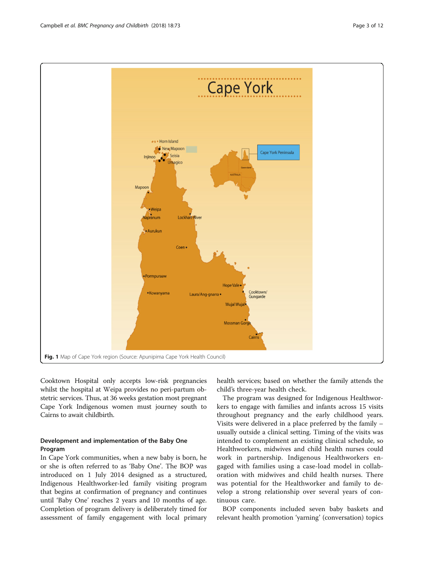Cooktown Hospital only accepts low-risk pregnancies whilst the hospital at Weipa provides no peri-partum obstetric services. Thus, at 36 weeks gestation most pregnant Cape York Indigenous women must journey south to Cairns to await childbirth.

## Development and implementation of the Baby One Program

In Cape York communities, when a new baby is born, he or she is often referred to as 'Baby One'. The BOP was introduced on 1 July 2014 designed as a structured, Indigenous Healthworker-led family visiting program that begins at confirmation of pregnancy and continues until 'Baby One' reaches 2 years and 10 months of age. Completion of program delivery is deliberately timed for assessment of family engagement with local primary health services; based on whether the family attends the child's three-year health check.

The program was designed for Indigenous Healthworkers to engage with families and infants across 15 visits throughout pregnancy and the early childhood years. Visits were delivered in a place preferred by the family – usually outside a clinical setting. Timing of the visits was intended to complement an existing clinical schedule, so Healthworkers, midwives and child health nurses could work in partnership. Indigenous Healthworkers engaged with families using a case-load model in collaboration with midwives and child health nurses. There was potential for the Healthworker and family to develop a strong relationship over several years of continuous care.

BOP components included seven baby baskets and relevant health promotion 'yarning' (conversation) topics

<span id="page-2-0"></span>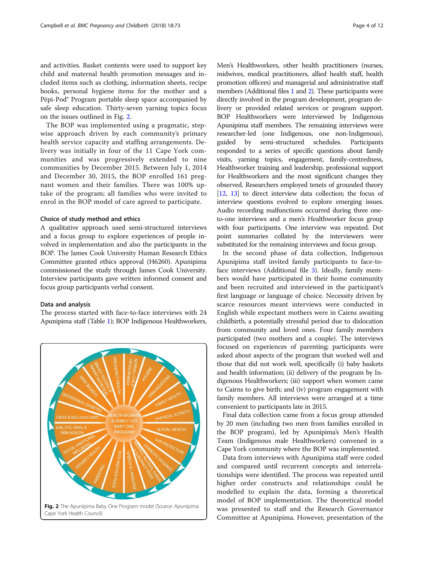and activities. Basket contents were used to support key child and maternal health promotion messages and included items such as clothing, information sheets, recipe books, personal hygiene items for the mother and a Pēpi-Pod® Program portable sleep space accompanied by safe sleep education. Thirty-seven yarning topics focus on the issues outlined in Fig. 2.

The BOP was implemented using a pragmatic, stepwise approach driven by each community's primary health service capacity and staffing arrangements. Delivery was initially in four of the 11 Cape York communities and was progressively extended to nine communities by December 2015. Between July 1, 2014 and December 30, 2015, the BOP enrolled 161 pregnant women and their families. There was 100% uptake of the program; all families who were invited to enrol in the BOP model of care agreed to participate.

#### Choice of study method and ethics

A qualitative approach used semi-structured interviews and a focus group to explore experiences of people involved in implementation and also the participants in the BOP. The James Cook University Human Research Ethics Committee granted ethics approval (H6260). Apunipima commissioned the study through James Cook University. Interview participants gave written informed consent and focus group participants verbal consent.

#### Data and analysis

The process started with face-to-face interviews with 24 Apunipima staff (Table [1](#page-4-0)); BOP Indigenous Healthworkers,



Men's Healthworkers, other health practitioners (nurses, midwives, medical practitioners, allied health staff, health promotion officers) and managerial and administrative staff members (Additional files [1](#page-10-0) and [2\)](#page-10-0). These participants were directly involved in the program development, program delivery or provided related services or program support. BOP Healthworkers were interviewed by Indigenous Apunipima staff members. The remaining interviews were researcher-led (one Indigenous, one non-Indigenous), guided by semi-structured schedules. Participants responded to a series of specific questions about family visits, yarning topics, engagement, family-centredness, Healthworker training and leadership, professional support for Healthworkers and the most significant changes they observed. Researchers employed tenets of grounded theory [[12](#page-10-0), [13](#page-10-0)] to direct interview data collection; the focus of interview questions evolved to explore emerging issues. Audio recording malfunctions occurred during three oneto-one interviews and a men's Healthworker focus group with four participants. One interview was repeated. Dot point summaries collated by the interviewers were substituted for the remaining interviews and focus group.

In the second phase of data collection, Indigenous Apunipima staff invited family participants to face-toface interviews (Additional file [3\)](#page-10-0). Ideally, family members would have participated in their home community and been recruited and interviewed in the participant's first language or language of choice. Necessity driven by scarce resources meant interviews were conducted in English while expectant mothers were in Cairns awaiting childbirth, a potentially stressful period due to dislocation from community and loved ones. Four family members participated (two mothers and a couple). The interviews focused on experiences of parenting; participants were asked about aspects of the program that worked well and those that did not work well, specifically (i) baby baskets and health information; (ii) delivery of the program by Indigenous Healthworkers; (iii) support when women came to Cairns to give birth; and (iv) program engagement with family members. All interviews were arranged at a time convenient to participants late in 2015.

Final data collection came from a focus group attended by 20 men (including two men from families enrolled in the BOP program), led by Apunipima's Men's Health Team (Indigenous male Healthworkers) convened in a Cape York community where the BOP was implemented.

Data from interviews with Apunipima staff were coded and compared until recurrent concepts and interrelationships were identified. The process was repeated until higher order constructs and relationships could be modelled to explain the data, forming a theoretical model of BOP implementation. The theoretical model was presented to staff and the Research Governance Committee at Apunipima. However, presentation of the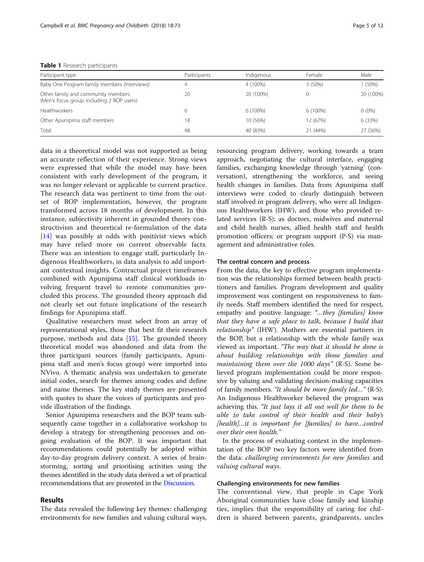<span id="page-4-0"></span>Table 1 Research participants

| Participant type                                                                | Participants | Indigenous | Female    | Male      |
|---------------------------------------------------------------------------------|--------------|------------|-----------|-----------|
| Baby One Program family members (Interviews)                                    | 4            | 4 (100%)   | $3(50\%)$ | $(50\%)$  |
| Other family and community members<br>(Men's focus group including 2 BOP users) | 20           | 20 (100%)  |           | 20 (100%) |
| <b>Healthworkers</b>                                                            | 6            | 6 (100%)   | 6 (100%)  | $0(0\%)$  |
| Other Apunipima staff members                                                   | 18           | 10 (56%)   | 12 (67%)  | 6 (33%)   |
| Total                                                                           | 48           | 40 (83%)   | 21 (44%)  | 27 (56%)  |

data in a theoretical model was not supported as being an accurate reflection of their experience. Strong views were expressed that while the model may have been consistent with early development of the program, it was no longer relevant or applicable to current practice. The research data was pertinent to time from the outset of BOP implementation, however, the program transformed across 18 months of development. In this instance, subjectivity inherent in grounded theory constructivism and theoretical re-formulation of the data [[14\]](#page-10-0) was possibly at odds with positivist views which may have relied more on current observable facts. There was an intention to engage staff, particularly Indigenous Healthworkers, in data analysis to add important contextual insights. Contractual project timeframes combined with Apunipima staff clinical workloads involving frequent travel to remote communities precluded this process. The grounded theory approach did not clearly set out future implications of the research findings for Apunipima staff.

Qualitative researchers must select from an array of representational styles, those that best fit their research purpose, methods and data  $[15]$  $[15]$ . The grounded theory theoretical model was abandoned and data from the three participant sources (family participants, Apunipima staff and men's focus group) were imported into NVivo. A thematic analysis was undertaken to generate initial codes, search for themes among codes and define and name themes. The key study themes are presented with quotes to share the voices of participants and provide illustration of the findings.

Senior Apunipima researchers and the BOP team subsequently came together in a collaborative workshop to develop a strategy for strengthening processes and ongoing evaluation of the BOP. It was important that recommendations could potentially be adopted within day-to-day program delivery context. A series of brainstorming, sorting and prioritising activities using the themes identified in the study data derived a set of practical recommendations that are presented in the [Discussion](#page-8-0).

## Results

The data revealed the following key themes: challenging environments for new families and valuing cultural ways, resourcing program delivery, working towards a team approach, negotiating the cultural interface, engaging families, exchanging knowledge through 'yarning' (conversation), strengthening the workforce, and seeing health changes in families. Data from Apunipima staff interviews were coded to clearly distinguish between staff involved in program delivery, who were all Indigenous Healthworkers (IHW), and those who provided related services (R-S); as doctors, midwives and maternal and child health nurses, allied health staff and health promotion officers; or program support (P-S) via management and administrative roles.

#### The central concern and process

From the data, the key to effective program implementation was the relationships formed between health practitioners and families. Program development and quality improvement was contingent on responsiveness to family needs. Staff members identified the need for respect, empathy and positive language: "...they [families] know that they have a safe place to talk, because I build that relationship" (IHW). Mothers are essential partners in the BOP, but a relationship with the whole family was viewed as important. "The way that it should be done is about building relationships with those families and maintaining them over the 1000 days" (R-S). Some believed program implementation could be more responsive by valuing and validating decision-making capacities of family members. "It should be more family led…" (R-S). An Indigenous Healthworker believed the program was achieving this. "It just lays it all out well for them to be able to take control of their health and their baby's [health]...it is important for [families] to have...control over their own health."

In the process of evaluating context in the implementation of the BOP two key factors were identified from the data: challenging environments for new families and valuing cultural ways.

## Challenging environments for new families

The conventional view, that people in Cape York Aboriginal communities have close family and kinship ties, implies that the responsibility of caring for children is shared between parents, grandparents, uncles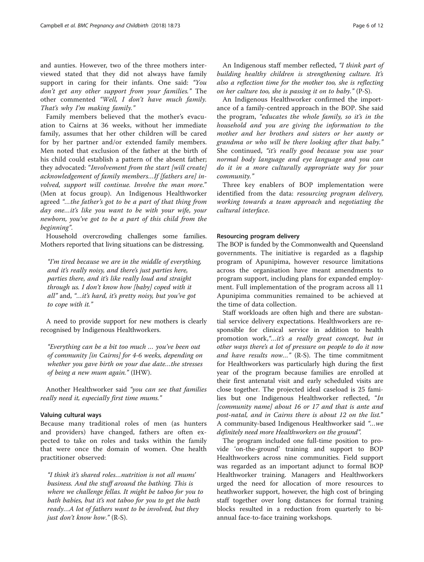and aunties. However, two of the three mothers interviewed stated that they did not always have family support in caring for their infants. One said: "You don't get any other support from your families." The other commented "Well, I don't have much family. That's why I'm making family."

Family members believed that the mother's evacuation to Cairns at 36 weeks, without her immediate family, assumes that her other children will be cared for by her partner and/or extended family members. Men noted that exclusion of the father at the birth of his child could establish a pattern of the absent father; they advocated: "Involvement from the start [will create] acknowledgement of family members…If [fathers are] involved, support will continue. Involve the man more." (Men at focus group). An Indigenous Healthworker agreed "…the father's got to be a part of that thing from day one…it's like you want to be with your wife, your newborn, you've got to be a part of this child from the beginning".

Household overcrowding challenges some families. Mothers reported that living situations can be distressing.

"I'm tired because we are in the middle of everything, and it's really noisy, and there's just parties here, parties there, and it's like really loud and straight through us. I don't know how [baby] coped with it all" and, "…it's hard, it's pretty noisy, but you've got to cope with it."

A need to provide support for new mothers is clearly recognised by Indigenous Healthworkers.

"Everything can be a bit too much … you've been out of community [in Cairns] for 4-6 weeks, depending on whether you gave birth on your due date…the stresses of being a new mum again." (IHW).

Another Healthworker said "you can see that families really need it, especially first time mums."

#### Valuing cultural ways

Because many traditional roles of men (as hunters and providers) have changed, fathers are often expected to take on roles and tasks within the family that were once the domain of women. One health practitioner observed:

"I think it's shared roles…nutrition is not all mums' business. And the stuff around the bathing. This is where we challenge fellas. It might be taboo for you to bath babies, but it's not taboo for you to get the bath ready…A lot of fathers want to be involved, but they just don't know how." (R-S).

An Indigenous staff member reflected, "I think part of building healthy children is strengthening culture. It's also a reflection time for the mother too, she is reflecting on her culture too, she is passing it on to baby." (P-S).

An Indigenous Healthworker confirmed the importance of a family-centred approach in the BOP. She said the program, "educates the whole family, so it's in the household and you are giving the information to the mother and her brothers and sisters or her aunty or grandma or who will be there looking after that baby." She continued, "it's really good because you use your normal body language and eye language and you can do it in a more culturally appropriate way for your community."

Three key enablers of BOP implementation were identified from the data: resourcing program delivery, working towards a team approach and negotiating the cultural interface.

## Resourcing program delivery

The BOP is funded by the Commonwealth and Queensland governments. The initiative is regarded as a flagship program of Apunipima, however resource limitations across the organisation have meant amendments to program support, including plans for expanded employment. Full implementation of the program across all 11 Apunipima communities remained to be achieved at the time of data collection.

Staff workloads are often high and there are substantial service delivery expectations. Healthworkers are responsible for clinical service in addition to health promotion work,"...it's a really great concept, but in other ways there's a lot of pressure on people to do it now and have results now…" (R-S). The time commitment for Healthworkers was particularly high during the first year of the program because families are enrolled at their first antenatal visit and early scheduled visits are close together. The projected ideal caseload is 25 families but one Indigenous Healthworker reflected, "In [community name] about 16 or 17 and that is ante and post-natal, and in Cairns there is about 12 on the list." A community-based Indigenous Healthworker said "…we definitely need more Healthworkers on the ground".

The program included one full-time position to provide 'on-the-ground' training and support to BOP Healthworkers across nine communities. Field support was regarded as an important adjunct to formal BOP Healthworker training. Managers and Healthworkers urged the need for allocation of more resources to heathworker support, however, the high cost of bringing staff together over long distances for formal training blocks resulted in a reduction from quarterly to biannual face-to-face training workshops.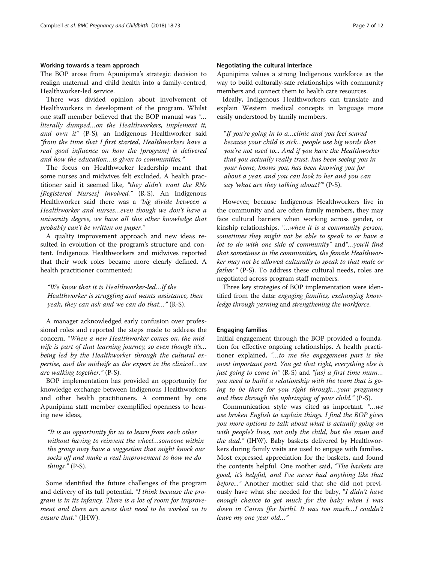## Working towards a team approach

The BOP arose from Apunipima's strategic decision to realign maternal and child health into a family-centred, Healthworker-led service.

There was divided opinion about involvement of Healthworkers in development of the program. Whilst one staff member believed that the BOP manual was "… literally dumped…on the Healthworkers, implement it, and own it" (P-S), an Indigenous Healthworker said "from the time that I first started, Healthworkers have a real good influence on how the [program] is delivered and how the education…is given to communities."

The focus on Healthworker leadership meant that some nurses and midwives felt excluded. A health practitioner said it seemed like, "they didn't want the RNs [Registered Nurses] involved." (R-S). An Indigenous Healthworker said there was a "big divide between a Healthworker and nurses…even though we don't have a university degree, we have all this other knowledge that probably can't be written on paper."

A quality improvement approach and new ideas resulted in evolution of the program's structure and content. Indigenous Healthworkers and midwives reported that their work roles became more clearly defined. A health practitioner commented:

"We know that it is Healthworker-led…If the Healthworker is struggling and wants assistance, then yeah, they can ask and we can do that…" (R-S).

A manager acknowledged early confusion over professional roles and reported the steps made to address the concern. "When a new Healthworker comes on, the midwife is part of that learning journey, so even though it's… being led by the Healthworker through the cultural expertise, and the midwife as the expert in the clinical…we are walking together." (P-S).

BOP implementation has provided an opportunity for knowledge exchange between Indigenous Healthworkers and other health practitioners. A comment by one Apunipima staff member exemplified openness to hearing new ideas,

"It is an opportunity for us to learn from each other without having to reinvent the wheel…someone within the group may have a suggestion that might knock our socks off and make a real improvement to how we do things."  $(P-S)$ .

Some identified the future challenges of the program and delivery of its full potential. "I think because the program is in its infancy. There is a lot of room for improvement and there are areas that need to be worked on to ensure that." (IHW).

Apunipima values a strong Indigenous workforce as the way to build culturally-safe relationships with community members and connect them to health care resources.

Negotiating the cultural interface

Ideally, Indigenous Healthworkers can translate and explain Western medical concepts in language more easily understood by family members.

"If you're going in to a…clinic and you feel scared because your child is sick…people use big words that you're not used to... And if you have the Healthworker that you actually really trust, has been seeing you in your home, knows you, has been knowing you for about a year, and you can look to her and you can say 'what are they talking about?'" (P-S).

However, because Indigenous Healthworkers live in the community and are often family members, they may face cultural barriers when working across gender, or kinship relationships. "…when it is a community person, sometimes they might not be able to speak to or have a lot to do with one side of community" and"…you'll find that sometimes in the communities, the female Healthworker may not be allowed culturally to speak to that male or father." (P-S). To address these cultural needs, roles are negotiated across program staff members.

Three key strategies of BOP implementation were identified from the data: engaging families, exchanging knowledge through yarning and strengthening the workforce.

#### Engaging families

Initial engagement through the BOP provided a foundation for effective ongoing relationships. A health practitioner explained, "…to me the engagement part is the most important part. You get that right, everything else is just going to come in"  $(R-S)$  and "[as] a first time mum... you need to build a relationship with the team that is going to be there for you right through…your pregnancy and then through the upbringing of your child." (P-S).

Communication style was cited as important. "…we use broken English to explain things. I find the BOP gives you more options to talk about what is actually going on with people's lives, not only the child, but the mum and the dad." (IHW). Baby baskets delivered by Healthworkers during family visits are used to engage with families. Most expressed appreciation for the baskets, and found the contents helpful. One mother said, "The baskets are good, it's helpful, and I've never had anything like that before..." Another mother said that she did not previously have what she needed for the baby, "I didn't have enough chance to get much for the baby when I was down in Cairns [for birth]. It was too much…I couldn't leave my one year old…"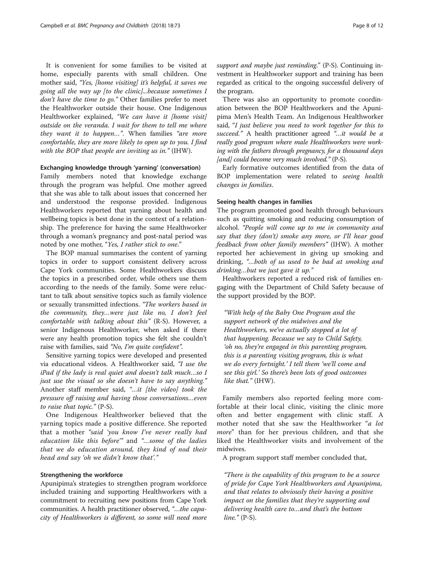It is convenient for some families to be visited at home, especially parents with small children. One mother said, "Yes, [home visiting] it's helpful, it saves me going all the way up [to the clinic]...because sometimes I don't have the time to go." Other families prefer to meet the Healthworker outside their house. One Indigenous Healthworker explained, "We can have it [home visit] outside on the veranda. I wait for them to tell me where they want it to happen…". When families "are more comfortable, they are more likely to open up to you. I find with the BOP that people are inviting us in." (IHW).

#### Exchanging knowledge through 'yarning' (conversation)

Family members noted that knowledge exchange through the program was helpful. One mother agreed that she was able to talk about issues that concerned her and understood the response provided. Indigenous Healthworkers reported that yarning about health and wellbeing topics is best done in the context of a relationship. The preference for having the same Healthworker through a woman's pregnancy and post-natal period was noted by one mother, "Yes, I rather stick to one."

The BOP manual summarises the content of yarning topics in order to support consistent delivery across Cape York communities. Some Healthworkers discuss the topics in a prescribed order, while others use them according to the needs of the family. Some were reluctant to talk about sensitive topics such as family violence or sexually transmitted infections. "The workers based in the community, they…were just like no, I don't feel comfortable with talking about this" (R-S). However, a senior Indigenous Healthworker, when asked if there were any health promotion topics she felt she couldn't raise with families, said "No, I'm quite confident".

Sensitive yarning topics were developed and presented via educational videos. A Healthworker said, "I use the iPad if the lady is real quiet and doesn't talk much…so I just use the visual so she doesn't have to say anything." Another staff member said, "…it [the video] took the pressure off raising and having those conversations…even to raise that topic." (P-S).

One Indigenous Healthworker believed that the yarning topics made a positive difference. She reported that a mother "said 'you know I've never really had education like this before'" and "…some of the ladies that we do education around, they kind of nod their head and say 'oh we didn't know that'."

#### Strengthening the workforce

Apunipima's strategies to strengthen program workforce included training and supporting Healthworkers with a commitment to recruiting new positions from Cape York communities. A health practitioner observed, "…the capacity of Healthworkers is different, so some will need more support and maybe just reminding." (P-S). Continuing investment in Healthworker support and training has been regarded as critical to the ongoing successful delivery of the program.

There was also an opportunity to promote coordination between the BOP Healthworkers and the Apunipima Men's Health Team. An Indigenous Healthworker said, "I just believe you need to work together for this to succeed." A health practitioner agreed "...it would be a really good program where male Healthworkers were working with the fathers through pregnancy, for a thousand days [and] could become very much involved."  $(P-S)$ .

Early formative outcomes identified from the data of BOP implementation were related to seeing health changes in families.

#### Seeing health changes in families

The program promoted good health through behaviours such as quitting smoking and reducing consumption of alcohol. "People will come up to me in community and say that they (don't) smoke any more, or I'll hear good feedback from other family members" (IHW). A mother reported her achievement in giving up smoking and drinking, "…both of us used to be bad at smoking and drinking…but we just gave it up."

Healthworkers reported a reduced risk of families engaging with the Department of Child Safety because of the support provided by the BOP.

"With help of the Baby One Program and the support network of the midwives and the Healthworkers, we've actually stopped a lot of that happening. Because we say to Child Safety, 'oh no, they're engaged in this parenting program, this is a parenting visiting program, this is what we do every fortnight.' I tell them 'we'll come and see this girl.' So there's been lots of good outcomes like that." (IHW).

Family members also reported feeling more comfortable at their local clinic, visiting the clinic more often and better engagement with clinic staff. A mother noted that she saw the Healthworker "a lot more" than for her previous children, and that she liked the Healthworker visits and involvement of the midwives.

A program support staff member concluded that,

"There is the capability of this program to be a source of pride for Cape York Healthworkers and Apunipima, and that relates to obviously their having a positive impact on the families that they're supporting and delivering health care to…and that's the bottom  $line." (P-S).$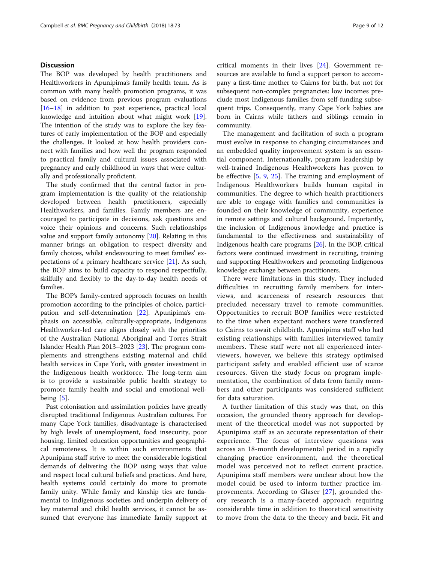### <span id="page-8-0"></span>**Discussion**

The BOP was developed by health practitioners and Healthworkers in Apunipima's family health team. As is common with many health promotion programs, it was based on evidence from previous program evaluations [[16](#page-10-0)–[18](#page-11-0)] in addition to past experience, practical local knowledge and intuition about what might work [\[19](#page-11-0)]. The intention of the study was to explore the key features of early implementation of the BOP and especially the challenges. It looked at how health providers connect with families and how well the program responded to practical family and cultural issues associated with pregnancy and early childhood in ways that were culturally and professionally proficient.

The study confirmed that the central factor in program implementation is the quality of the relationship developed between health practitioners, especially Healthworkers, and families. Family members are encouraged to participate in decisions, ask questions and voice their opinions and concerns. Such relationships value and support family autonomy [[20\]](#page-11-0). Relating in this manner brings an obligation to respect diversity and family choices, whilst endeavouring to meet families' expectations of a primary healthcare service [[21\]](#page-11-0). As such, the BOP aims to build capacity to respond respectfully, skilfully and flexibly to the day-to-day health needs of families.

The BOP's family-centred approach focuses on health promotion according to the principles of choice, participation and self-determination [\[22](#page-11-0)]. Apunipima's emphasis on accessible, culturally-appropriate, Indigenous Healthworker-led care aligns closely with the priorities of the Australian National Aboriginal and Torres Strait Islander Health Plan 2013–2023 [\[23](#page-11-0)]. The program complements and strengthens existing maternal and child health services in Cape York, with greater investment in the Indigenous health workforce. The long-term aim is to provide a sustainable public health strategy to promote family health and social and emotional wellbeing  $[5]$  $[5]$ .

Past colonisation and assimilation policies have greatly disrupted traditional Indigenous Australian cultures. For many Cape York families, disadvantage is characterised by high levels of unemployment, food insecurity, poor housing, limited education opportunities and geographical remoteness. It is within such environments that Apunipima staff strive to meet the considerable logistical demands of delivering the BOP using ways that value and respect local cultural beliefs and practices. And here, health systems could certainly do more to promote family unity. While family and kinship ties are fundamental to Indigenous societies and underpin delivery of key maternal and child health services, it cannot be assumed that everyone has immediate family support at critical moments in their lives [\[24](#page-11-0)]. Government resources are available to fund a support person to accompany a first-time mother to Cairns for birth, but not for subsequent non-complex pregnancies: low incomes preclude most Indigenous families from self-funding subsequent trips. Consequently, many Cape York babies are born in Cairns while fathers and siblings remain in community.

The management and facilitation of such a program must evolve in response to changing circumstances and an embedded quality improvement system is an essential component. Internationally, program leadership by well-trained Indigenous Healthworkers has proven to be effective [\[5](#page-10-0), [9](#page-10-0), [25\]](#page-11-0). The training and employment of Indigenous Healthworkers builds human capital in communities. The degree to which health practitioners are able to engage with families and communities is founded on their knowledge of community, experience in remote settings and cultural background. Importantly, the inclusion of Indigenous knowledge and practice is fundamental to the effectiveness and sustainability of Indigenous health care programs [[26](#page-11-0)]. In the BOP, critical factors were continued investment in recruiting, training and supporting Healthworkers and promoting Indigenous knowledge exchange between practitioners.

There were limitations in this study. They included difficulties in recruiting family members for interviews, and scarceness of research resources that precluded necessary travel to remote communities. Opportunities to recruit BOP families were restricted to the time when expectant mothers were transferred to Cairns to await childbirth. Apunipima staff who had existing relationships with families interviewed family members. These staff were not all experienced interviewers, however, we believe this strategy optimised participant safety and enabled efficient use of scarce resources. Given the study focus on program implementation, the combination of data from family members and other participants was considered sufficient for data saturation.

A further limitation of this study was that, on this occasion, the grounded theory approach for development of the theoretical model was not supported by Apunipima staff as an accurate representation of their experience. The focus of interview questions was across an 18-month developmental period in a rapidly changing practice environment, and the theoretical model was perceived not to reflect current practice. Apunipima staff members were unclear about how the model could be used to inform further practice improvements. According to Glaser [[27\]](#page-11-0), grounded theory research is a many-faceted approach requiring considerable time in addition to theoretical sensitivity to move from the data to the theory and back. Fit and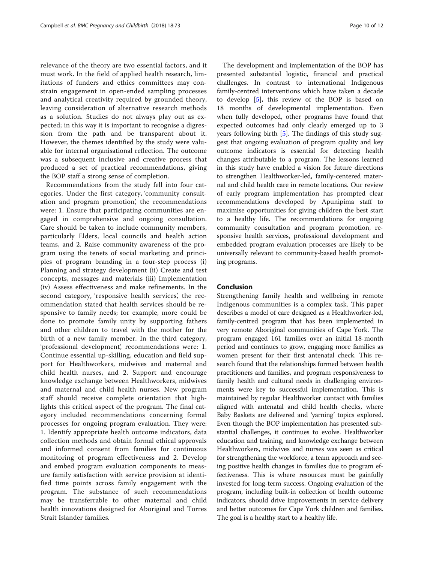relevance of the theory are two essential factors, and it must work. In the field of applied health research, limitations of funders and ethics committees may constrain engagement in open-ended sampling processes and analytical creativity required by grounded theory, leaving consideration of alternative research methods as a solution. Studies do not always play out as expected; in this way it is important to recognise a digression from the path and be transparent about it. However, the themes identified by the study were valuable for internal organisational reflection. The outcome was a subsequent inclusive and creative process that produced a set of practical recommendations, giving the BOP staff a strong sense of completion.

Recommendations from the study fell into four categories. Under the first category, 'community consultation and program promotion', the recommendations were: 1. Ensure that participating communities are engaged in comprehensive and ongoing consultation. Care should be taken to include community members, particularly Elders, local councils and health action teams, and 2. Raise community awareness of the program using the tenets of social marketing and principles of program branding in a four-step process (i) Planning and strategy development (ii) Create and test concepts, messages and materials (iii) Implementation (iv) Assess effectiveness and make refinements. In the second category, 'responsive health services', the recommendation stated that health services should be responsive to family needs; for example, more could be done to promote family unity by supporting fathers and other children to travel with the mother for the birth of a new family member. In the third category, 'professional development', recommendations were: 1. Continue essential up-skilling, education and field support for Healthworkers, midwives and maternal and child health nurses, and 2. Support and encourage knowledge exchange between Healthworkers, midwives and maternal and child health nurses. New program staff should receive complete orientation that highlights this critical aspect of the program. The final category included recommendations concerning formal processes for ongoing program evaluation. They were: 1. Identify appropriate health outcome indicators, data collection methods and obtain formal ethical approvals and informed consent from families for continuous monitoring of program effectiveness and 2. Develop and embed program evaluation components to measure family satisfaction with service provision at identified time points across family engagement with the program. The substance of such recommendations may be transferrable to other maternal and child health innovations designed for Aboriginal and Torres Strait Islander families.

The development and implementation of the BOP has presented substantial logistic, financial and practical challenges. In contrast to international Indigenous family-centred interventions which have taken a decade to develop [[5](#page-10-0)], this review of the BOP is based on 18 months of developmental implementation. Even when fully developed, other programs have found that expected outcomes had only clearly emerged up to 3 years following birth [[5](#page-10-0)]. The findings of this study suggest that ongoing evaluation of program quality and key outcome indicators is essential for detecting health changes attributable to a program. The lessons learned in this study have enabled a vision for future directions to strengthen Healthworker-led, family-centered maternal and child health care in remote locations. Our review of early program implementation has prompted clear recommendations developed by Apunipima staff to maximise opportunities for giving children the best start to a healthy life. The recommendations for ongoing community consultation and program promotion, responsive health services, professional development and embedded program evaluation processes are likely to be universally relevant to community-based health promoting programs.

#### Conclusion

Strengthening family health and wellbeing in remote Indigenous communities is a complex task. This paper describes a model of care designed as a Healthworker-led, family-centred program that has been implemented in very remote Aboriginal communities of Cape York. The program engaged 161 families over an initial 18-month period and continues to grow, engaging more families as women present for their first antenatal check. This research found that the relationships formed between health practitioners and families, and program responsiveness to family health and cultural needs in challenging environments were key to successful implementation. This is maintained by regular Healthworker contact with families aligned with antenatal and child health checks, where Baby Baskets are delivered and 'yarning' topics explored. Even though the BOP implementation has presented substantial challenges, it continues to evolve. Healthworker education and training, and knowledge exchange between Healthworkers, midwives and nurses was seen as critical for strengthening the workforce, a team approach and seeing positive health changes in families due to program effectiveness. This is where resources must be gainfully invested for long-term success. Ongoing evaluation of the program, including built-in collection of health outcome indicators, should drive improvements in service delivery and better outcomes for Cape York children and families. The goal is a healthy start to a healthy life.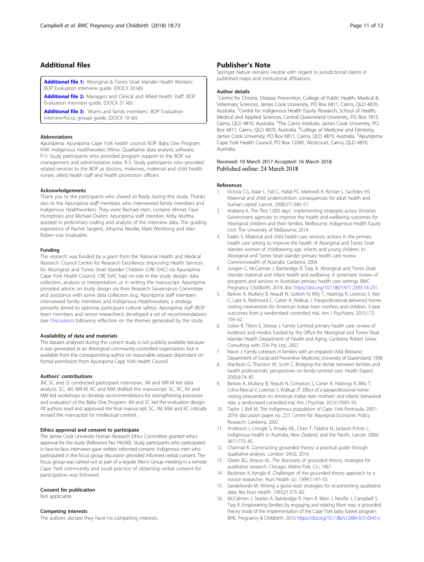## <span id="page-10-0"></span>Additional files

[Additional file 1:](https://doi.org/10.1186/s12884-018-1711-7) 'Aboriginal & Torres Strait Islander Health Workers'. BOP Evaluation interview guide. (DOCX 20 kb)

[Additional file 2:](https://doi.org/10.1186/s12884-018-1711-7) 'Managers and Clinical and Allied Health Staff'. BOP Evaluation interview guide. (DOCX 21 kb)

[Additional file 3:](https://doi.org/10.1186/s12884-018-1711-7) 'Mums and family members'. BOP Evaluation intervew/focus groups guide. (DOCX 18 kb)

#### Abbreviations

Apunipima: Apunipima Cape York health council; BOP: Baby One Program; IHW: Indigenous healthworker; NVivo: Qualitative data analysis software; P-S: Study participants who provided program support to the BOP via management and administrative roles; R-S: Study participants who provided related services to the BOP as doctors, midwives, maternal and child health nurses, allied health staff and health promotion officers

#### Acknowledgements

Thank you to the participants who shared so freely during this study. Thanks also to the Apunipima staff members who interviewed family members and Indigenous Healthworkers. They were Rachael Ham, Lorraine Ahmat, Faye Humphries and Michael Drahm. Apunipima staff member, Kirby Murtha assisted in preliminary coding and analysis of the interview data. The guiding experience of Rachel Sargent, Johanna Neville, Mark Wenitong and Alan Ruben was invaluable.

#### Funding

The research was funded by a grant from the National Health and Medical Research Council Centre for Research Excellence: Improving Health Services for Aboriginal and Torres Strait Islander Children (CRE ISAC) via Apunipima Cape York Health Council. CRE ISAC had no role in the study design, data collection, analysis or interpretation, or in writing the manuscript. Apunipima provided advice on study design via their Research Governance Committee and assistance with some data collection (e.g. Apunipima staff members interviewed family members and Indigenous Healthworkers; a strategy primarily aimed to optimise participant cultural safety). Apunipima staff (BOP team members and senior researchers) developed a set of recommendations (see [Discussion](#page-8-0)) following reflection on the themes generated by the study.

#### Availability of data and materials

The dataset analysed during the current study is not publicly available because it was generated at an Aboriginal community-controlled organisation, but is available from the corresponding author on reasonable request dependant on formal permission from Apunipima Cape York Health Council.

#### Authors' contributions

JM, SC and JS conducted participant interviews. JM and MR-M led data analysis. SC, JM, MR-M, KC and MM drafted the manuscript. SC, KC, KV and MM led workshops to develop recommendations for strengthening processes and evaluation of the Baby One Program. JM and SC led the evaluation design. All authors read and approved the final manuscript. SC, JM, MM and KC critically revised the manuscript for intellectual content.

#### Ethics approval and consent to participate

The James Cook University Human Research Ethics Committee granted ethics approval for the study (Reference No: H6260). Study participants who participated in face-to-face interviews gave written informed consent. Indigenous men who participated in the focus group discussion provided informed verbal consent. The focus group was carried out as part of a regular Men's Group meeting in a remote Cape York community and usual practice of obtaining verbal consent for participation was followed.

#### Consent for publication

Not applicable.

#### Competing interests

The authors declare they have no competing interests.

#### Publisher's Note

Springer Nature remains neutral with regard to jurisdictional claims in published maps and institutional affiliations.

#### Author details

<sup>1</sup> Centre for Chronic Disease Prevention, College of Public Health, Medical & Veterinary Sciences, James Cook University, PO Box 6811, Cairns, QLD 4870, Australia. <sup>2</sup> Centre for Indigenous Health Equity Research, School of Health Medical and Applied Sciences, Central Queensland University, PO Box 7815, Cairns, QLD 4870, Australia. <sup>3</sup>The Cairns Institute, James Cook University, PC Box 6811, Cairns, QLD 4870, Australia. <sup>4</sup>College of Medicine and Dentistry, James Cook University, PO Box 6811, Cairns, QLD 4870, Australia. <sup>5</sup>Apunipima Cape York Health Council, PO Box 12045, Westcourt, Cairns, QLD 4870, Australia.

#### Received: 10 March 2017 Accepted: 16 March 2018 Published online: 24 March 2018

#### References

- 1. Victora CG, Adair L, Fall C, Hallal PC, Martorell R, Richter L, Sachdev HS. Maternal and child undernutrition: consequences for adult health and human capital. Lancet. 2008;371:340–57.
- 2. Arabena K. The 'first 1,000 days': implementing strategies across Victorian Government agencies to improve the health and wellbeing outcomes for Aboriginal children and their families. Melbourne: Indigenous Health Equity Unit, The University of Melbourne; 2014.
- 3. Eades S. Maternal and child health care services: actions in the primary health care setting to improve the health of Aboriginal and Torres Strait Islander women of childbearing age, infants and young children. In: Aboriginal and Torres Strait islander primary health care review. Commonwealth of Australia: Canberra; 2004.
- 4. Jongen C, McCalman J, Bainbridge R, Tsey, K. Aboriginal and Torres Strait Islander maternal and infant health and wellbeing: A systematic review of programs and services in Australian primary health care settings. BMC Pregnancy Childbirth. 2014; doi: <https://doi.org/10.1186/1471-2393-14-251>.
- Barlow A, Mullany B, Neault N, Goklish N, Billy T, Hastings R, Lorenzo S, Kee C, Lake K, Redmond C, Carter A, Walkup J. Paraprofessional-delivered homevisiting intervention for American Indian teen mothers and children: 3-year outcomes from a randomized controlled trial. Am J Psychiatry. 2015;172: 154–62.
- 6. Griew R, Tilton E, Stewar J. Family Centred primary health care: review of evidence and models funded by the Office for Aboriginal and Torres Strait Islander Health Department of Health and Aging. Canberra: Robert Griew Consulting with JTAI Pty Ltd.; 2007.
- 7. Nixon J. Family cohesion in families with an impaired child. Brisbane: Department of Social and Preventive Medicine, University of Queensland; 1998.
- 8. MacKean G, Thurston W, Scott C. Bridging the divide between families and health professionals' perspectives on family-centred care. Health Expect. 2005;8:74–85.
- 9. Barlow A, Mullany B, Neault N, Compton S, Carter A, Hastings R, Billy T, Coho-Mescal V, Lorenzo S, Walkup JT. Effect of a paraprofessional homevisiting intervention on American Indian teen mothers' and infants' behavioral risks: a randomized controlled trial. Am J Psychiat. 2013;170:83–93.
- 10. Taylor J, Bell M. The indigenous population of Cape York Peninsula, 2001– 2016: discussion paper no. 227. Centre for Aboriginal Economic Policy Research: Canberra; 2002.
- 11. Anderson I, Crengle S, Kmaka ML, Chen T, Palafox N, Jackson-Pulver L. Indigenous health in Australia, New Zealand, and the Pacific. Lancet. 2006; 367:1775–85.
- 12. Charmaz K. Constructing grounded theory: a practical guide through qualitative analysis. London: SAGE; 2014.
- 13. Glaser BG, Strauss AL. The discovery of grounded theory; strategies for qualitative research. Chicago: Aldine Pub. Co.; 1967.
- 14. Backman K, Kyngäs K. Challenges of the grounded theory approach to a novice researcher. Nurs Health Sci. 1999;1:147–53.
- 15. Sandelowski M. Writing a good read: strategies for re-presenting qualitative data. Res Nurs Health. 1993;21:375–82.
- 16. McCalman J, Searles A, Bainbridge R, Ham R, Mein J, Neville J, Campbell S, Tsey K. Empowering families by engaging and relating Murri way: a grounded theory study of the implementation of the Cape York baby basket program. BMC Pregnancy & Childbirth. 2015; <https://doi.org/10.1186/s12884-015-0543-y>.